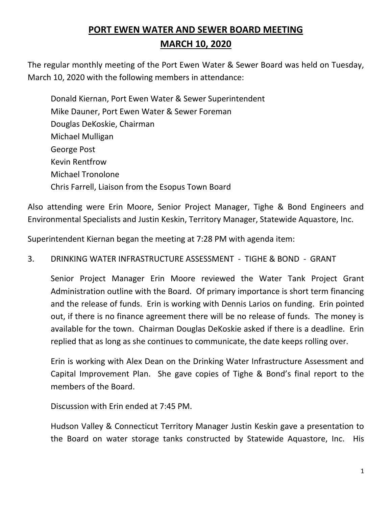# **PORT EWEN WATER AND SEWER BOARD MEETING MARCH 10, 2020**

The regular monthly meeting of the Port Ewen Water & Sewer Board was held on Tuesday, March 10, 2020 with the following members in attendance:

Donald Kiernan, Port Ewen Water & Sewer Superintendent Mike Dauner, Port Ewen Water & Sewer Foreman Douglas DeKoskie, Chairman Michael Mulligan George Post Kevin Rentfrow Michael Tronolone Chris Farrell, Liaison from the Esopus Town Board

Also attending were Erin Moore, Senior Project Manager, Tighe & Bond Engineers and Environmental Specialists and Justin Keskin, Territory Manager, Statewide Aquastore, Inc.

Superintendent Kiernan began the meeting at 7:28 PM with agenda item:

## 3. DRINKING WATER INFRASTRUCTURE ASSESSMENT - TIGHE & BOND - GRANT

Senior Project Manager Erin Moore reviewed the Water Tank Project Grant Administration outline with the Board. Of primary importance is short term financing and the release of funds. Erin is working with Dennis Larios on funding. Erin pointed out, if there is no finance agreement there will be no release of funds. The money is available for the town. Chairman Douglas DeKoskie asked if there is a deadline. Erin replied that as long as she continues to communicate, the date keeps rolling over.

Erin is working with Alex Dean on the Drinking Water Infrastructure Assessment and Capital Improvement Plan. She gave copies of Tighe & Bond's final report to the members of the Board.

Discussion with Erin ended at 7:45 PM.

Hudson Valley & Connecticut Territory Manager Justin Keskin gave a presentation to the Board on water storage tanks constructed by Statewide Aquastore, Inc. His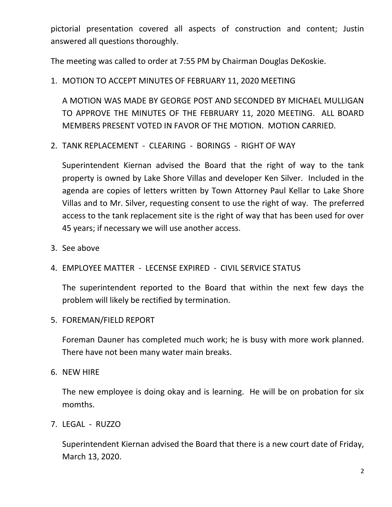pictorial presentation covered all aspects of construction and content; Justin answered all questions thoroughly.

The meeting was called to order at 7:55 PM by Chairman Douglas DeKoskie.

1. MOTION TO ACCEPT MINUTES OF FEBRUARY 11, 2020 MEETING

A MOTION WAS MADE BY GEORGE POST AND SECONDED BY MICHAEL MULLIGAN TO APPROVE THE MINUTES OF THE FEBRUARY 11, 2020 MEETING. ALL BOARD MEMBERS PRESENT VOTED IN FAVOR OF THE MOTION. MOTION CARRIED.

2. TANK REPLACEMENT - CLEARING - BORINGS - RIGHT OF WAY

Superintendent Kiernan advised the Board that the right of way to the tank property is owned by Lake Shore Villas and developer Ken Silver. Included in the agenda are copies of letters written by Town Attorney Paul Kellar to Lake Shore Villas and to Mr. Silver, requesting consent to use the right of way. The preferred access to the tank replacement site is the right of way that has been used for over 45 years; if necessary we will use another access.

- 3. See above
- 4. EMPLOYEE MATTER LECENSE EXPIRED CIVIL SERVICE STATUS

The superintendent reported to the Board that within the next few days the problem will likely be rectified by termination.

5. FOREMAN/FIELD REPORT

Foreman Dauner has completed much work; he is busy with more work planned. There have not been many water main breaks.

6. NEW HIRE

The new employee is doing okay and is learning. He will be on probation for six momths.

7. LEGAL - RUZZO

Superintendent Kiernan advised the Board that there is a new court date of Friday, March 13, 2020.